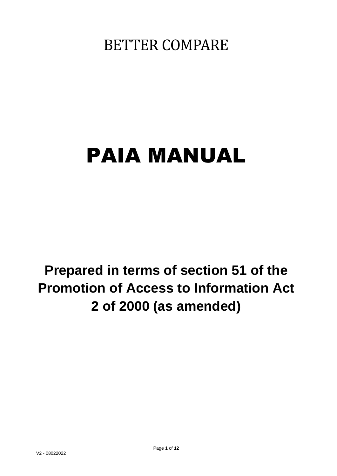BETTER COMPARE

# PAIA MANUAL

**Prepared in terms of section 51 of the Promotion of Access to Information Act 2 of 2000 (as amended)**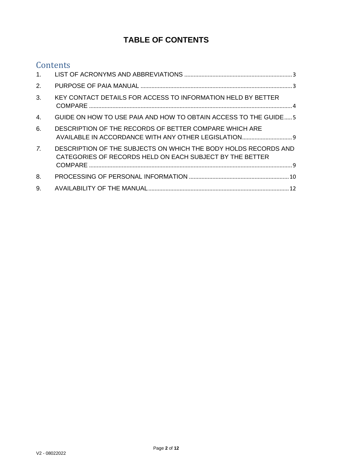# **TABLE OF CONTENTS**

## **Contents**

| 1 <sub>1</sub> |                                                                                                                             |  |
|----------------|-----------------------------------------------------------------------------------------------------------------------------|--|
| 2.             |                                                                                                                             |  |
| 3.             | KEY CONTACT DETAILS FOR ACCESS TO INFORMATION HELD BY BETTER                                                                |  |
| 4.             | GUIDE ON HOW TO USE PAIA AND HOW TO OBTAIN ACCESS TO THE GUIDE 5                                                            |  |
| 6.             | DESCRIPTION OF THE RECORDS OF BETTER COMPARE WHICH ARE<br>AVAILABLE IN ACCORDANCE WITH ANY OTHER LEGISLATION 9              |  |
| 7 <sub>1</sub> | DESCRIPTION OF THE SUBJECTS ON WHICH THE BODY HOLDS RECORDS AND<br>CATEGORIES OF RECORDS HELD ON EACH SUBJECT BY THE BETTER |  |
| 8.             |                                                                                                                             |  |
| 9.             |                                                                                                                             |  |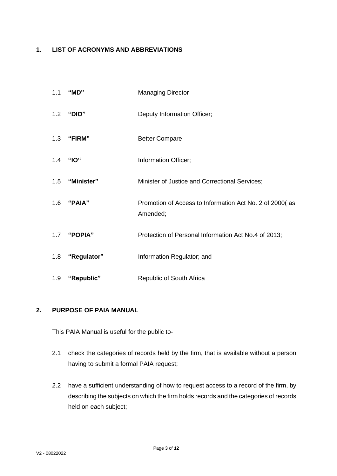## <span id="page-2-0"></span>**1. LIST OF ACRONYMS AND ABBREVIATIONS**

| 1.1 | "MD"           | <b>Managing Director</b>                                            |
|-----|----------------|---------------------------------------------------------------------|
| 1.2 | "DIO"          | Deputy Information Officer;                                         |
|     | 1.3 "FIRM"     | <b>Better Compare</b>                                               |
| 1.4 | "IO"           | Information Officer;                                                |
| 1.5 | "Minister"     | Minister of Justice and Correctional Services;                      |
|     | 1.6 "PAIA"     | Promotion of Access to Information Act No. 2 of 2000(as<br>Amended; |
|     | 1.7 "POPIA"    | Protection of Personal Information Act No.4 of 2013;                |
| 1.8 | "Regulator"    | Information Regulator; and                                          |
|     | 1.9 "Republic" | Republic of South Africa                                            |

## <span id="page-2-1"></span>**2. PURPOSE OF PAIA MANUAL**

This PAIA Manual is useful for the public to-

- 2.1 check the categories of records held by the firm, that is available without a person having to submit a formal PAIA request;
- 2.2 have a sufficient understanding of how to request access to a record of the firm, by describing the subjects on which the firm holds records and the categories of records held on each subject;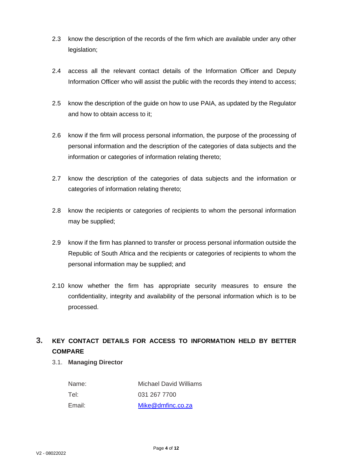- 2.3 know the description of the records of the firm which are available under any other legislation:
- 2.4 access all the relevant contact details of the Information Officer and Deputy Information Officer who will assist the public with the records they intend to access;
- 2.5 know the description of the guide on how to use PAIA, as updated by the Regulator and how to obtain access to it;
- 2.6 know if the firm will process personal information, the purpose of the processing of personal information and the description of the categories of data subjects and the information or categories of information relating thereto;
- 2.7 know the description of the categories of data subjects and the information or categories of information relating thereto;
- 2.8 know the recipients or categories of recipients to whom the personal information may be supplied;
- 2.9 know if the firm has planned to transfer or process personal information outside the Republic of South Africa and the recipients or categories of recipients to whom the personal information may be supplied; and
- 2.10 know whether the firm has appropriate security measures to ensure the confidentiality, integrity and availability of the personal information which is to be processed.

## <span id="page-3-0"></span>**3. KEY CONTACT DETAILS FOR ACCESS TO INFORMATION HELD BY BETTER COMPARE**

### 3.1. **Managing Director**

| Name:  | <b>Michael David Williams</b> |
|--------|-------------------------------|
| Tel:   | 031 267 7700                  |
| Email: | Mike@dmfinc.co.za             |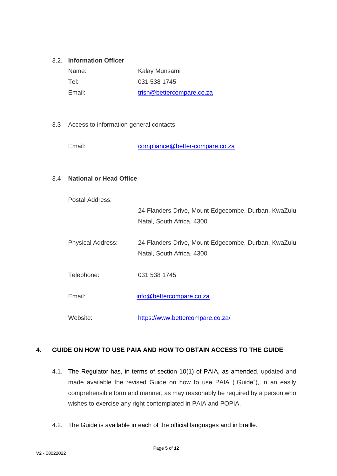## 3.2. **Information Officer**

| Name:  | Kalay Munsami             |
|--------|---------------------------|
| Tel:   | 031 538 1745              |
| Email: | trish@bettercompare.co.za |

### 3.3 Access to information general contacts

Email: [compliance@better-compare.co.za](mailto:compliance@better-compare.co.za)

### 3.4 **National or Head Office**

| Postal Address:          |                                                                                  |
|--------------------------|----------------------------------------------------------------------------------|
|                          | 24 Flanders Drive, Mount Edgecombe, Durban, KwaZulu                              |
|                          | Natal, South Africa, 4300                                                        |
| <b>Physical Address:</b> | 24 Flanders Drive, Mount Edgecombe, Durban, KwaZulu<br>Natal, South Africa, 4300 |
| Telephone:               | 031 538 1745                                                                     |
| Email:                   | info@bettercompare.co.za                                                         |
| Website:                 | https://www.bettercompare.co.za/                                                 |

## <span id="page-4-0"></span>**4. GUIDE ON HOW TO USE PAIA AND HOW TO OBTAIN ACCESS TO THE GUIDE**

- 4.1. The Regulator has, in terms of section 10(1) of PAIA, as amended, updated and made available the revised Guide on how to use PAIA ("Guide"), in an easily comprehensible form and manner, as may reasonably be required by a person who wishes to exercise any right contemplated in PAIA and POPIA.
- 4.2. The Guide is available in each of the official languages and in braille.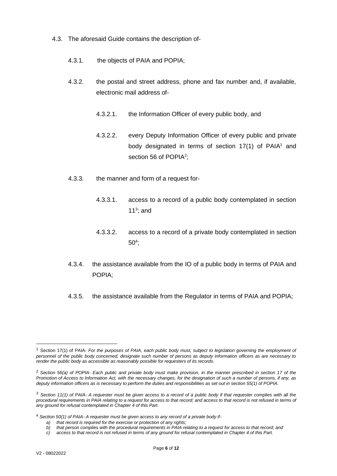- 4.3. The aforesaid Guide contains the description of-
	- 4.3.1. the objects of PAIA and POPIA;
	- 4.3.2. the postal and street address, phone and fax number and, if available, electronic mail address of-
		- 4.3.2.1. the Information Officer of every public body, and
		- 4.3.2.2. every Deputy Information Officer of every public and private body designated in terms of section  $17(1)$  of PAIA<sup>1</sup> and section 56 of POPIA<sup>2</sup>;
	- 4.3.3. the manner and form of a request for-
		- 4.3.3.1. access to a record of a public body contemplated in section 11 $3$ ; and
		- 4.3.3.2. access to a record of a private body contemplated in section  $50<sup>4</sup>$ ;
	- 4.3.4. the assistance available from the IO of a public body in terms of PAIA and POPIA;
	- 4.3.5. the assistance available from the Regulator in terms of PAIA and POPIA;

<sup>1</sup> Section 17(1) of PAIA- *For the purposes of PAIA, each public body must, subject to legislation governing the employment of personnel of the public body concerned, designate such number of persons as deputy information officers as are necessary to render the public body as accessible as reasonably possible for requesters of its records.*

*<sup>2</sup> Section 56(a) of POPIA- Each public and private body must make provision, in the manner prescribed in section 17 of the Promotion of Access to Information Act, with the necessary changes, for the designation of such a number of persons, if any, as deputy information officers as is necessary to perform the duties and responsibilities as set out in section 55(1) of POPIA.*

*<sup>3</sup> Section 11(1) of PAIA- A requester must be given access to a record of a public body if that requester complies with all the*  procedural requirements in PAIA relating to a request for access to that record; and access to that record is not refused in terms of *any ground for refusal contemplated in Chapter 4 of this Part.*

<sup>4</sup> *Section 50(1) of PAIA- A requester must be given access to any record of a private body if-*

*a) that record is required for the exercise or protection of any rights;*

*b) that person complies with the procedural requirements in PAIA relating to a request for access to that record; and*

*c) access to that record is not refused in terms of any ground for refusal contemplated in Chapter 4 of this Part.*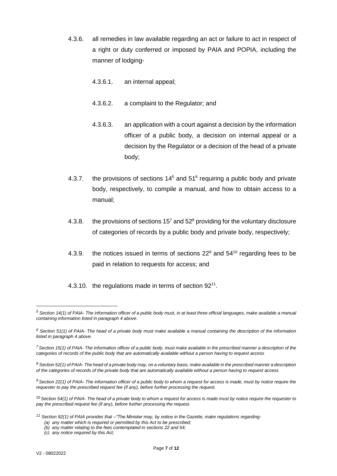- 4.3.6. all remedies in law available regarding an act or failure to act in respect of a right or duty conferred or imposed by PAIA and POPIA, including the manner of lodging-
	- 4.3.6.1. an internal appeal;
	- 4.3.6.2. a complaint to the Regulator; and
	- 4.3.6.3. an application with a court against a decision by the information officer of a public body, a decision on internal appeal or a decision by the Regulator or a decision of the head of a private body;
- 4.3.7. the provisions of sections  $14<sup>5</sup>$  and  $51<sup>6</sup>$  requiring a public body and private body, respectively, to compile a manual, and how to obtain access to a manual;
- 4.3.8. the provisions of sections  $15<sup>7</sup>$  and  $52<sup>8</sup>$  providing for the voluntary disclosure of categories of records by a public body and private body, respectively;
- 4.3.9. the notices issued in terms of sections  $22^9$  and  $54^{10}$  regarding fees to be paid in relation to requests for access; and
- 4.3.10. the regulations made in terms of section 92<sup>11</sup>.

*<sup>5</sup> Section 14(1) of PAIA- The information officer of a public body must, in at least three official languages, make available a manual containing information listed in paragraph 4 above.*

*<sup>6</sup> Section 51(1) of PAIA- The head of a private body must make available a manual containing the description of the information listed in paragraph 4 above.*

*<sup>7</sup>Section 15(1) of PAIA- The information officer of a public body, must make available in the prescribed manner a description of the categories of records of the public body that are automatically available without a person having to request access*

*<sup>8</sup> Section 52(1) of PAIA- The head of a private body may, on a voluntary basis, make available in the prescribed manner a description of the categories of records of the private body that are automatically available without a person having to request access*

*<sup>9</sup> Section 22(1) of PAIA- The information officer of a public body to whom a request for access is made, must by notice require the requester to pay the prescribed request fee (if any), before further processing the request.*

<sup>10</sup> *Section 54(1) of PAIA- The head of a private body to whom a request for access is made must by notice require the requester to pay the prescribed request fee (if any), before further processing the request.*

*<sup>11</sup> Section 92(1) of PAIA provides that –"The Minister may, by notice in the Gazette, make regulations regarding- (a) any matter which is required or permitted by this Act to be prescribed;*

*<sup>(</sup>b) any matter relating to the fees contemplated in sections 22 and 54;*

*<sup>(</sup>c) any notice required by this Act;*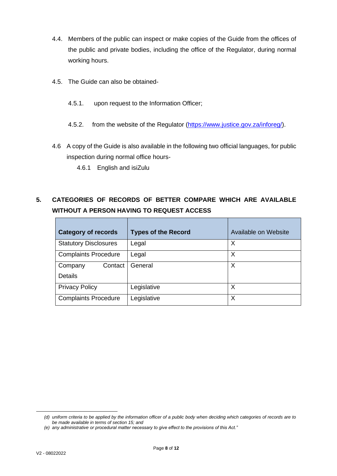- 4.4. Members of the public can inspect or make copies of the Guide from the offices of the public and private bodies, including the office of the Regulator, during normal working hours.
- 4.5. The Guide can also be obtained-
	- 4.5.1. upon request to the Information Officer;
	- 4.5.2. from the website of the Regulator [\(https://www.justice.gov.za/inforeg/\)](https://www.justice.gov.za/inforeg/).
- 4.6 A copy of the Guide is also available in the following two official languages, for public inspection during normal office hours-
	- 4.6.1 English and isiZulu

## **5. CATEGORIES OF RECORDS OF BETTER COMPARE WHICH ARE AVAILABLE WITHOUT A PERSON HAVING TO REQUEST ACCESS**

| <b>Category of records</b>   | <b>Types of the Record</b> | Available on Website |  |
|------------------------------|----------------------------|----------------------|--|
| <b>Statutory Disclosures</b> | Legal                      | X                    |  |
| <b>Complaints Procedure</b>  | Legal                      | X                    |  |
| Contact<br>Company           | General                    | X                    |  |
| <b>Details</b>               |                            |                      |  |
| <b>Privacy Policy</b>        | Legislative                | Χ                    |  |
| <b>Complaints Procedure</b>  | Legislative                | X                    |  |

*<sup>(</sup>d) uniform criteria to be applied by the information officer of a public body when deciding which categories of records are to be made available in terms of section 15; and*

*<sup>(</sup>e) any administrative or procedural matter necessary to give effect to the provisions of this Act."*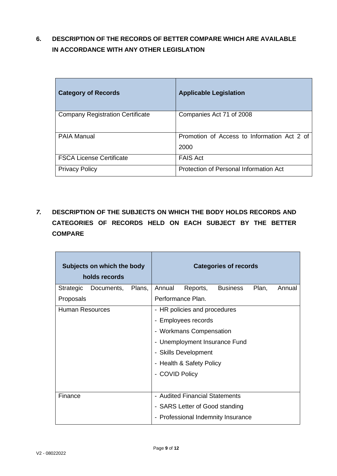## <span id="page-8-0"></span>**6. DESCRIPTION OF THE RECORDS OF BETTER COMPARE WHICH ARE AVAILABLE IN ACCORDANCE WITH ANY OTHER LEGISLATION**

| <b>Category of Records</b>              | <b>Applicable Legislation</b>                       |
|-----------------------------------------|-----------------------------------------------------|
| <b>Company Registration Certificate</b> | Companies Act 71 of 2008                            |
| <b>PAIA Manual</b>                      | Promotion of Access to Information Act 2 of<br>2000 |
| <b>FSCA License Certificate</b>         | <b>FAIS Act</b>                                     |
| <b>Privacy Policy</b>                   | Protection of Personal Information Act              |

<span id="page-8-1"></span>*7.* **DESCRIPTION OF THE SUBJECTS ON WHICH THE BODY HOLDS RECORDS AND CATEGORIES OF RECORDS HELD ON EACH SUBJECT BY THE BETTER COMPARE**

| Subjects on which the body<br>holds records |            |        |                      |                                | <b>Categories of records</b>       |       |        |
|---------------------------------------------|------------|--------|----------------------|--------------------------------|------------------------------------|-------|--------|
| Strategic                                   | Documents, | Plans, | Annual               | Reports,                       | <b>Business</b>                    | Plan, | Annual |
| Proposals                                   |            |        |                      | Performance Plan.              |                                    |       |        |
| Human Resources                             |            |        |                      | - HR policies and procedures   |                                    |       |        |
|                                             |            |        |                      | - Employees records            |                                    |       |        |
|                                             |            |        |                      | - Workmans Compensation        |                                    |       |        |
|                                             |            |        |                      |                                | - Unemployment Insurance Fund      |       |        |
|                                             |            |        | - Skills Development |                                |                                    |       |        |
|                                             |            |        |                      | - Health & Safety Policy       |                                    |       |        |
|                                             |            |        | - COVID Policy       |                                |                                    |       |        |
|                                             |            |        |                      |                                |                                    |       |        |
| Finance                                     |            |        |                      | - Audited Financial Statements |                                    |       |        |
|                                             |            |        |                      | - SARS Letter of Good standing |                                    |       |        |
|                                             |            |        |                      |                                | - Professional Indemnity Insurance |       |        |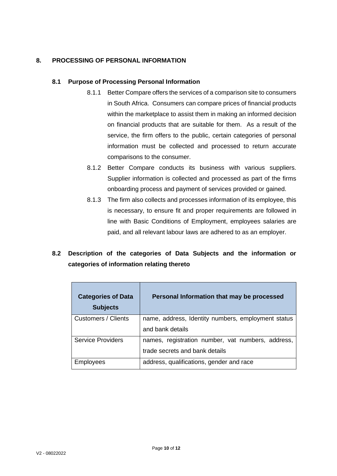## <span id="page-9-0"></span>**8. PROCESSING OF PERSONAL INFORMATION**

#### **8.1 Purpose of Processing Personal Information**

- 8.1.1 Better Compare offers the services of a comparison site to consumers in South Africa. Consumers can compare prices of financial products within the marketplace to assist them in making an informed decision on financial products that are suitable for them. As a result of the service, the firm offers to the public, certain categories of personal information must be collected and processed to return accurate comparisons to the consumer.
- 8.1.2 Better Compare conducts its business with various suppliers. Supplier information is collected and processed as part of the firms onboarding process and payment of services provided or gained.
- 8.1.3 The firm also collects and processes information of its employee, this is necessary, to ensure fit and proper requirements are followed in line with Basic Conditions of Employment, employees salaries are paid, and all relevant labour laws are adhered to as an employer.

## **8.2 Description of the categories of Data Subjects and the information or categories of information relating thereto**

| <b>Categories of Data</b><br><b>Subjects</b> | Personal Information that may be processed         |
|----------------------------------------------|----------------------------------------------------|
| Customers / Clients                          | name, address, Identity numbers, employment status |
|                                              | and bank details                                   |
| <b>Service Providers</b>                     | names, registration number, vat numbers, address,  |
|                                              | trade secrets and bank details                     |
| Employees                                    | address, qualifications, gender and race           |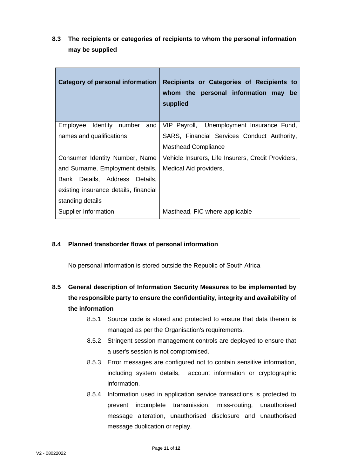**8.3 The recipients or categories of recipients to whom the personal information may be supplied**

| Category of personal information      | Recipients or Categories of Recipients to<br>whom the personal information may be<br>supplied |
|---------------------------------------|-----------------------------------------------------------------------------------------------|
| Identity number<br>Employee<br>and    | VIP Payroll, Unemployment Insurance Fund,                                                     |
| names and qualifications              | SARS, Financial Services Conduct Authority,                                                   |
|                                       | <b>Masthead Compliance</b>                                                                    |
| Consumer Identity Number, Name        | Vehicle Insurers, Life Insurers, Credit Providers,                                            |
| and Surname, Employment details,      | Medical Aid providers,                                                                        |
| Bank Details, Address Details,        |                                                                                               |
| existing insurance details, financial |                                                                                               |
| standing details                      |                                                                                               |
| Supplier Information                  | Masthead, FIC where applicable                                                                |

## **8.4 Planned transborder flows of personal information**

No personal information is stored outside the Republic of South Africa

## **8.5 General description of Information Security Measures to be implemented by the responsible party to ensure the confidentiality, integrity and availability of the information**

- 8.5.1 Source code is stored and protected to ensure that data therein is managed as per the Organisation's requirements.
- 8.5.2 Stringent session management controls are deployed to ensure that a user's session is not compromised.
- 8.5.3 Error messages are configured not to contain sensitive information, including system details, account information or cryptographic information.
- 8.5.4 Information used in application service transactions is protected to prevent incomplete transmission, miss-routing, unauthorised message alteration, unauthorised disclosure and unauthorised message duplication or replay.